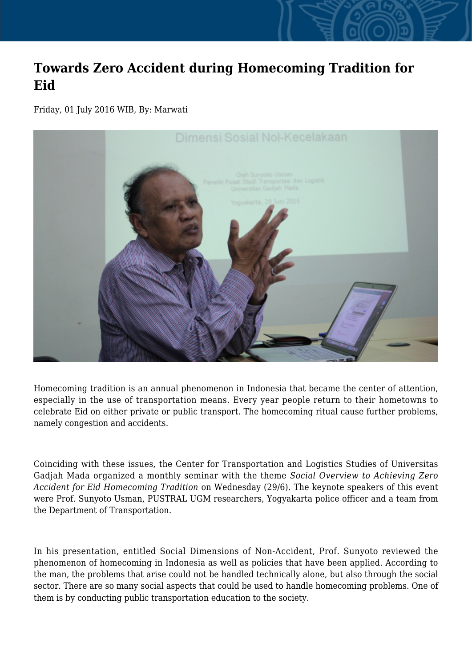## **Towards Zero Accident during Homecoming Tradition for Eid**

Friday, 01 July 2016 WIB, By: Marwati



Homecoming tradition is an annual phenomenon in Indonesia that became the center of attention, especially in the use of transportation means. Every year people return to their hometowns to celebrate Eid on either private or public transport. The homecoming ritual cause further problems, namely congestion and accidents.

Coinciding with these issues, the Center for Transportation and Logistics Studies of Universitas Gadjah Mada organized a monthly seminar with the theme *Social Overview to Achieving Zero Accident for Eid Homecoming Tradition* on Wednesday (29/6). The keynote speakers of this event were Prof. Sunyoto Usman, PUSTRAL UGM researchers, Yogyakarta police officer and a team from the Department of Transportation.

In his presentation, entitled Social Dimensions of Non-Accident, Prof. Sunyoto reviewed the phenomenon of homecoming in Indonesia as well as policies that have been applied. According to the man, the problems that arise could not be handled technically alone, but also through the social sector. There are so many social aspects that could be used to handle homecoming problems. One of them is by conducting public transportation education to the society.